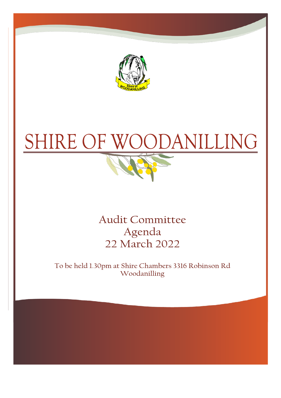

# SHIRE OF OODANILLING



**Audit Committee** Agenda 22 March 2022

To be held 1.30pm at Shire Chambers 3316 Robinson Rd Woodanilling

**CHIEF EXECUTIVE OF EXECUTIVE OF**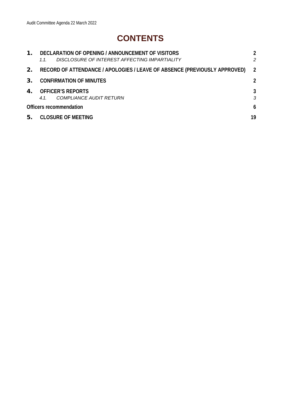# **CONTENTS**

| $\mathbf 1$ . | DECLARATION OF OPENING / ANNOUNCEMENT OF VISITORS<br>DISCLOSURE OF INTEREST AFFECTING IMPARTIALITY<br>1.1. | 2              |
|---------------|------------------------------------------------------------------------------------------------------------|----------------|
| 2.            | RECORD OF ATTENDANCE / APOLOGIES / LEAVE OF ABSENCE (PREVIOUSLY APPROVED)                                  | $\overline{2}$ |
| 3.            | <b>CONFIRMATION OF MINUTES</b>                                                                             | $\overline{2}$ |
| $4_{\cdot}$   | <b>OFFICER'S REPORTS</b><br><b>COMPLIANCE AUDIT RETURN</b><br>4.1                                          | 3<br>3         |
|               | Officers recommendation                                                                                    | 6              |
| 5.            | <b>CLOSURE OF MEETING</b>                                                                                  | 19             |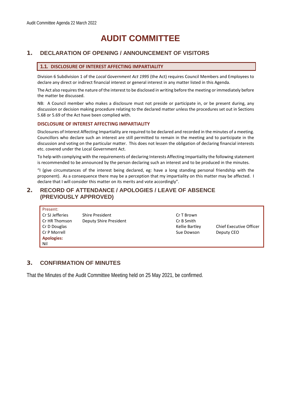# **AUDIT COMMITTEE**

# <span id="page-2-3"></span><span id="page-2-1"></span><span id="page-2-0"></span>1. **DECLARATION OF OPENING / ANNOUNCEMENT OF VISITORS**

#### **1.1. DISCLOSURE OF INTEREST AFFECTING IMPARTIALITY**

Division 6 Subdivision 1 of the *Local Government Act 1995* (the Act) requires Council Members and Employees to declare any direct or indirect financial interest or general interest in any matter listed in this Agenda.

The Act also requires the nature of the interest to be disclosed in writing before the meeting or immediately before the matter be discussed.

NB: A Council member who makes a disclosure must not preside or participate in, or be present during, any discussion or decision making procedure relating to the declared matter unless the procedures set out in Sections 5.68 or 5.69 of the Act have been complied with.

#### **DISCLOSURE OF INTEREST AFFECTING IMPARTIALITY**

Disclosures of Interest Affecting Impartiality are required to be declared and recorded in the minutes of a meeting. Councillors who declare such an interest are still permitted to remain in the meeting and to participate in the discussion and voting on the particular matter. This does not lessen the obligation of declaring financial interests etc. covered under the Local Government Act.

To help with complying with the requirements of declaring Interests Affecting Impartiality the following statement is recommended to be announced by the person declaring such an interest and to be produced in the minutes.

"I (give circumstances of the interest being declared, eg: have a long standing personal friendship with the proponent). As a consequence there may be a perception that my impartiality on this matter may be affected. I declare that I will consider this matter on its merits and vote accordingly".

### <span id="page-2-2"></span>2. **RECORD OF ATTENDANCE / APOLOGIES / LEAVE OF ABSENCE (PREVIOUSLY APPROVED)**

| Present:          |                        |                |                                |
|-------------------|------------------------|----------------|--------------------------------|
| Cr SJ Jefferies   | Shire President        | Cr T Brown     |                                |
| Cr HR Thomson     | Deputy Shire President | Cr B Smith     |                                |
| Cr D Douglas      |                        | Kellie Bartley | <b>Chief Executive Officer</b> |
| Cr P Morrell      |                        | Sue Dowson     | Deputy CEO                     |
| <b>Apologies:</b> |                        |                |                                |
| Nil               |                        |                |                                |

## 3. **CONFIRMATION OF MINUTES**

That the Minutes of the Audit Committee Meeting held on 25 May 2021, be confirmed.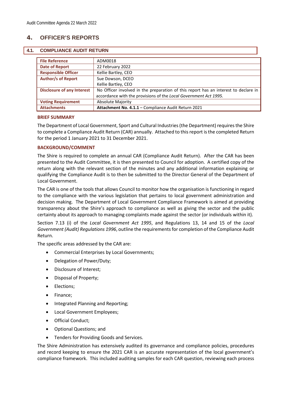# <span id="page-3-0"></span>4. **OFFICER'S REPORTS**

#### <span id="page-3-1"></span>**4.1. COMPLIANCE AUDIT RETURN**

| <b>File Reference</b>             | ADM0018                                                                             |
|-----------------------------------|-------------------------------------------------------------------------------------|
| <b>Date of Report</b>             | 22 February 2022                                                                    |
| <b>Responsible Officer</b>        | Kellie Bartley, CEO                                                                 |
| <b>Author/s of Report</b>         | Sue Dowson, DCEO                                                                    |
|                                   | Kellie Bartley, CEO                                                                 |
| <b>Disclosure of any Interest</b> | No Officer involved in the preparation of this report has an interest to declare in |
|                                   | accordance with the provisions of the Local Government Act 1995.                    |
| <b>Voting Requirement</b>         | <b>Absolute Majority</b>                                                            |
| <b>Attachments</b>                | Attachment No. 4.1.1 - Compliance Audit Return 2021                                 |

#### **BRIEF SUMMARY**

The Department of Local Government, Sport and Cultural Industries (the Department) requires the Shire to complete a Compliance Audit Return (CAR) annually. Attached to this report is the completed Return for the period 1 January 2021 to 31 December 2021.

#### **BACKGROUND/COMMENT**

The Shire is required to complete an annual CAR (Compliance Audit Return). After the CAR has been presented to the Audit Committee, it is then presented to Council for adoption. A certified copy of the return along with the relevant section of the minutes and any additional information explaining or qualifying the Compliance Audit is to then be submitted to the Director General of the Department of Local Government.

The CAR is one of the tools that allows Council to monitor how the organisation is functioning in regard to the compliance with the various legislation that pertains to local government administration and decision making. The Department of Local Government Compliance Framework is aimed at providing transparency about the Shire's approach to compliance as well as giving the sector and the public certainty about its approach to managing complaints made against the sector (or individuals within it).

Section 7.13 (i) of the *Local Government Act 1995*, and Regulations 13, 14 and 15 of the *Local Government (Audit) Regulations 1996*, outline the requirements for completion of the Compliance Audit Return.

The specific areas addressed by the CAR are:

- Commercial Enterprises by Local Governments;
- Delegation of Power/Duty;
- Disclosure of Interest;
- Disposal of Property;
- Elections;
- Finance;
- Integrated Planning and Reporting;
- Local Government Employees;
- Official Conduct;
- Optional Questions; and
- Tenders for Providing Goods and Services.

The Shire Administration has extensively audited its governance and compliance policies, procedures and record keeping to ensure the 2021 CAR is an accurate representation of the local government's compliance framework. This included auditing samples for each CAR question, reviewing each process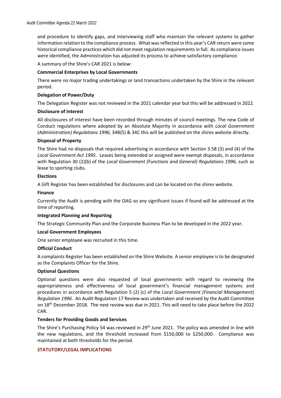and procedure to identify gaps, and interviewing staff who maintain the relevant systems to gather information relation to the compliance process. What was reflected in this year's CAR return were some historical compliance practices which did not meet regulation requirements in full. As compliance issues were identified, the Administration has adjusted its process to achieve satisfactory compliance.

A summary of the Shire's CAR 2021 is below:

#### **Commercial Enterprises by Local Governments**

There were no major trading undertakings or land transactions undertaken by the Shire in the relevant period.

#### **Delegation of Power/Duty**

The Delegation Register was not reviewed in the 2021 calendar year but this will be addressed in 2022.

#### **Disclosure of Interest**

All disclosures of interest have been recorded through minutes of council meetings. The new Code of Conduct regulations where adopted by an Absolute Majority in accordance with *Local Government (Administration) Regulations 1996*, 34B(5) & 34C this will be published on the shires website directly.

#### **Disposal of Property**

The Shire had no disposals that required advertising in accordance with Section 3.58 (3) and (4) of the *Local Government Act 1995*. Leases being extended or assigned were exempt disposals, in accordance with Regulation 30 (2)(b) of the *Local Government (Functions and General) Regulations 1996*, such as lease to sporting clubs.

#### **Elections**

A Gift Register has been established for disclosures and can be located on the shires website.

#### **Finance**

Currently the Audit is pending with the OAG so any significant issues if found will be addressed at the time of reporting.

#### **Integrated Planning and Reporting**

The Strategic Community Plan and the Corporate Business Plan to be developed in the 2022 year.

#### **Local Government Employees**

One senior employee was recruited in this time.

#### **Official Conduct**

A complaints Register has been established on the Shire Website. A senior employee is to be designated as the Complaints Officer for the Shire.

#### **Optional Questions**

Optional questions were also requested of local governments with regard to reviewing the appropriateness and effectiveness of local government's financial management systems and procedures in accordance with Regulation 5 (2) (c) of the *Local Government (Financial Management) Regulation 1996*. An Audit Regulation 17 Review was undertaken and received by the Audit Committee on 18<sup>th</sup> December 2018. The next review was due in 2021. This will need to take place before the 2022 CAR.

#### **Tenders for Providing Goods and Services**

The Shire's Purchasing Policy 54 was reviewed in 29<sup>th</sup> June 2021. The policy was amended in line with the new regulations, and the threshold increased from \$150,000 to \$250,000. Compliance was maintained at both thresholds for the period.

#### **STATUTORY/LEGAL IMPLICATIONS**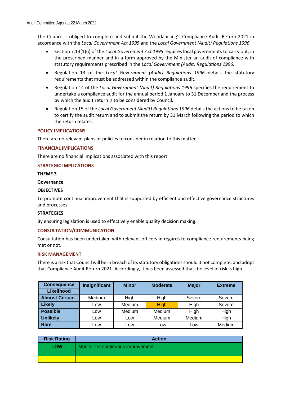The Council is obliged to complete and submit the Woodanilling's Compliance Audit Return 2021 in accordance with the *Local Government Act 1995* and the *Local Government (Audit) Regulations 1996*.

- Section 7.13(1)(i) of the *Local Government Act 1995* requires local governments to carry out, in the prescribed manner and in a form approved by the Minister an audit of compliance with statutory requirements prescribed in the *Local Government (Audit) Regulations 1996.*
- Regulation 13 of the *Local Government (Audit) Regulations 1996* details the statutory requirements that must be addressed within the compliance audit.
- Regulation 14 of the *Local Government (Audit) Regulations 1996* specifies the requirement to undertake a compliance audit for the annual period 1 January to 31 December and the process by which the audit return is to be considered by Council.
- Regulation 15 of the *Local Government (Audit) Regulations 1996* details the actions to be taken to certify the audit return and to submit the return by 31 March following the period to which the return relates.

#### **POLICY IMPLICATIONS**

There are no relevant plans or policies to consider in relation to this matter.

#### **FINANCIAL IMPLICATIONS**

There are no financial implications associated with this report.

#### **STRATEGIC IMPLICATIONS**

#### **THEME 3**

#### **Governance**

#### **OBJECTIVES**

To promote continual improvement that is supported by efficient and effective governance structures and processes.

#### **STRATEGIES**

By ensuring legislation is used to effectively enable quality decision making.

#### **CONSULTATION/COMMUNICATION**

Consultation has been undertaken with relevant officers in regards to compliance requirements being met or not.

#### **RISK MANAGEMENT**

There is a risk that Council will be in breach of its statutory obligations should it not complete, and adopt that Compliance Audit Return 2021. Accordingly, it has been assessed that the level of risk is high.

| <b>Consequence</b>    | Insignificant | <b>Minor</b>  | <b>Moderate</b> | <b>Major</b> | <b>Extreme</b> |
|-----------------------|---------------|---------------|-----------------|--------------|----------------|
| Likelihood            |               |               |                 |              |                |
| <b>Almost Certain</b> | Medium        | High          | High            | Severe       | Severe         |
| <b>Likely</b>         | Low           | <b>Medium</b> | <b>High</b>     | High         | Severe         |
| <b>Possible</b>       | Low           | <b>Medium</b> | <b>Medium</b>   | High         | High           |
| <b>Unlikely</b>       | ∟ow           | Low           | Medium          | Medium       | High           |
| Rare                  | Low           | LOW           | Low             | Low          | Medium         |

| <b>Risk Rating</b> | <b>Action</b>                       |
|--------------------|-------------------------------------|
| <b>LOW</b>         | Monitor for continuous improvement. |
|                    |                                     |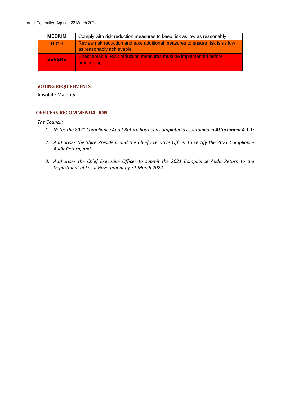| <b>MEDIUM</b> | Comply with risk reduction measures to keep risk as low as reasonably                                    |
|---------------|----------------------------------------------------------------------------------------------------------|
| <b>HIGH</b>   | Review risk reduction and take additional measures to ensure risk is as low<br>as reasonably achievable. |
| <b>SEVERE</b> | Unacceptable. Risk reduction measures must be implemented before<br>proceeding.                          |

#### **VOTING REQUIREMENTS**

Absolute Majority

#### <span id="page-6-0"></span>**OFFICERS RECOMMENDATION**

*The Council:*

- 1. Notes the 2021 Compliance Audit Return has been completed as contained in **Attachment 4.1.1;**
- *2. Authorises the Shire President and the Chief Executive Officer to certify the 2021 Compliance Audit Return; and*
- *3. Authorises the Chief Executive Officer to submit the 2021 Compliance Audit Return to the Department of Local Government by 31 March 2022.*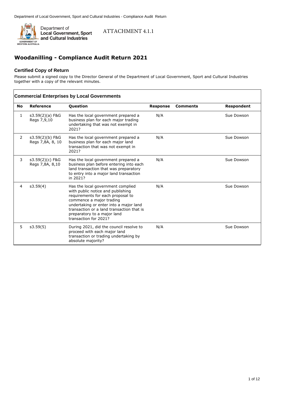

### ATTACHMENT 4.1.1

# **Woodanilling - Compliance Audit Return 2021**

#### **Certified Copy of Return**

Please submit a signed copy to the Director General of the Department of Local Government, Sport and Cultural Industries together with a copy of the relevant minutes.

|                | <b>Commercial Enterprises by Local Governments</b> |                                                                                                                                                                                                                                                                                        |                 |                 |                   |  |
|----------------|----------------------------------------------------|----------------------------------------------------------------------------------------------------------------------------------------------------------------------------------------------------------------------------------------------------------------------------------------|-----------------|-----------------|-------------------|--|
| <b>No</b>      | Reference                                          | Question                                                                                                                                                                                                                                                                               | <b>Response</b> | <b>Comments</b> | <b>Respondent</b> |  |
| 1              | s3.59(2)(a) F&G<br>Regs 7,9,10                     | Has the local government prepared a<br>business plan for each major trading<br>undertaking that was not exempt in<br>2021?                                                                                                                                                             | N/A             |                 | Sue Dowson        |  |
| 2              | s3.59(2)(b) F&G<br>Regs 7,8A, 8, 10                | Has the local government prepared a<br>business plan for each major land<br>transaction that was not exempt in<br>2021?                                                                                                                                                                | N/A             |                 | Sue Dowson        |  |
| 3              | s3.59(2)(c) F&G<br>Regs 7,8A, 8,10                 | Has the local government prepared a<br>business plan before entering into each<br>land transaction that was preparatory<br>to entry into a major land transaction<br>in 2021?                                                                                                          | N/A             |                 | Sue Dowson        |  |
| $\overline{4}$ | s3.59(4)                                           | Has the local government complied<br>with public notice and publishing<br>requirements for each proposal to<br>commence a major trading<br>undertaking or enter into a major land<br>transaction or a land transaction that is<br>preparatory to a major land<br>transaction for 2021? | N/A             |                 | Sue Dowson        |  |
| 5              | s3.59(5)                                           | During 2021, did the council resolve to<br>proceed with each major land<br>transaction or trading undertaking by<br>absolute majority?                                                                                                                                                 | N/A             |                 | Sue Dowson        |  |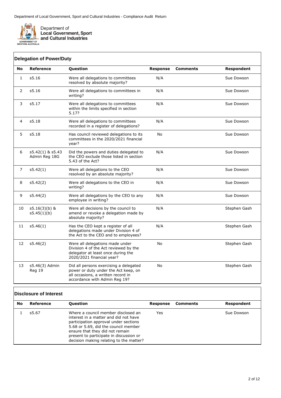

 $\mathbf{r}$ 

| No           | <b>Reference</b>                  | Question                                                                                                                                              | <b>Response</b> | <b>Comments</b> | <b>Respondent</b> |
|--------------|-----------------------------------|-------------------------------------------------------------------------------------------------------------------------------------------------------|-----------------|-----------------|-------------------|
| $\mathbf{1}$ | s5.16                             | Were all delegations to committees<br>resolved by absolute majority?                                                                                  | N/A             |                 | Sue Dowson        |
| 2            | s5.16                             | Were all delegations to committees in<br>writing?                                                                                                     | N/A             |                 | Sue Dowson        |
| 3            | s5.17                             | Were all delegations to committees<br>within the limits specified in section<br>5.17?                                                                 | N/A             |                 | Sue Dowson        |
| 4            | s5.18                             | Were all delegations to committees<br>recorded in a register of delegations?                                                                          | N/A             |                 | Sue Dowson        |
| 5            | s5.18                             | Has council reviewed delegations to its<br>committees in the 2020/2021 financial<br>year?                                                             | No              |                 | Sue Dowson        |
| 6            | s5.42(1) & s5.43<br>Admin Reg 18G | Did the powers and duties delegated to<br>the CEO exclude those listed in section<br>5.43 of the Act?                                                 | N/A             |                 | Sue Dowson        |
| 7            | s5.42(1)                          | Were all delegations to the CEO<br>resolved by an absolute majority?                                                                                  | N/A             |                 | Sue Dowson        |
| 8            | s5.42(2)                          | Were all delegations to the CEO in<br>writing?                                                                                                        | N/A             |                 | Sue Dowson        |
| 9            | s5.44(2)                          | Were all delegations by the CEO to any<br>employee in writing?                                                                                        | N/A             |                 | Sue Dowson        |
| 10           | $s5.16(3)(b)$ &<br>s5.45(1)(b)    | Were all decisions by the council to<br>amend or revoke a delegation made by<br>absolute majority?                                                    | N/A             |                 | Stephen Gash      |
| 11           | s5.46(1)                          | Has the CEO kept a register of all<br>delegations made under Division 4 of<br>the Act to the CEO and to employees?                                    | N/A             |                 | Stephen Gash      |
| 12           | s5.46(2)                          | Were all delegations made under<br>Division 4 of the Act reviewed by the<br>delegator at least once during the<br>2020/2021 financial year?           | <b>No</b>       |                 | Stephen Gash      |
| 13           | s5.46(3) Admin<br>Reg 19          | Did all persons exercising a delegated<br>power or duty under the Act keep, on<br>all occasions, a written record in<br>accordance with Admin Reg 19? | No              |                 | Stephen Gash      |

## **Disclosure of Interest**

| No | Reference | <b>Question</b>                                                                                                                                                                                                                                                                        | Response | <b>Comments</b> | Respondent |
|----|-----------|----------------------------------------------------------------------------------------------------------------------------------------------------------------------------------------------------------------------------------------------------------------------------------------|----------|-----------------|------------|
|    | s5.67     | Where a council member disclosed an<br>interest in a matter and did not have<br>participation approval under sections<br>5.68 or 5.69, did the council member<br>ensure that they did not remain<br>present to participate in discussion or<br>decision making relating to the matter? | Yes      |                 | Sue Dowson |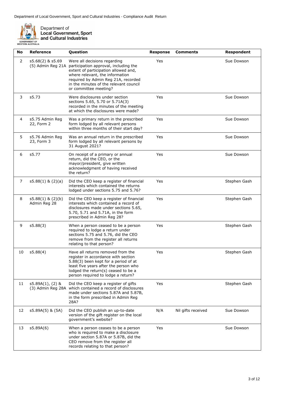

Department of<br>Local Government, Sport<br>and Cultural Industries

| No | <b>Reference</b>                      | Question                                                                                                                                                                                                                                                   | <b>Response</b> | <b>Comments</b>    | Respondent   |
|----|---------------------------------------|------------------------------------------------------------------------------------------------------------------------------------------------------------------------------------------------------------------------------------------------------------|-----------------|--------------------|--------------|
| 2  | s5.68(2) & s5.69<br>(5) Admin Reg 21A | Were all decisions regarding<br>participation approval, including the<br>extent of participation allowed and,<br>where relevant, the information<br>required by Admin Reg 21A, recorded<br>in the minutes of the relevant council<br>or committee meeting? | Yes             |                    | Sue Dowson   |
| 3  | s5.73                                 | Were disclosures under section<br>sections 5.65, 5.70 or 5.71A(3)<br>recorded in the minutes of the meeting<br>at which the disclosures were made?                                                                                                         | Yes             |                    | Sue Dowson   |
| 4  | s5.75 Admin Reg<br>22, Form 2         | Was a primary return in the prescribed<br>form lodged by all relevant persons<br>within three months of their start day?                                                                                                                                   | Yes             |                    | Sue Dowson   |
| 5  | s5.76 Admin Reg<br>23, Form 3         | Was an annual return in the prescribed<br>form lodged by all relevant persons by<br>31 August 2021?                                                                                                                                                        | Yes             |                    | Sue Dowson   |
| 6  | s5.77                                 | On receipt of a primary or annual<br>return, did the CEO, or the<br>mayor/president, give written<br>acknowledgment of having received<br>the return?                                                                                                      | Yes             |                    | Sue Dowson   |
| 7  | $s5.88(1)$ & $(2)(a)$                 | Did the CEO keep a register of financial<br>interests which contained the returns<br>lodged under sections 5.75 and 5.76?                                                                                                                                  | Yes             |                    | Stephen Gash |
| 8  | $s5.88(1)$ & $(2)(b)$<br>Admin Reg 28 | Did the CEO keep a register of financial<br>interests which contained a record of<br>disclosures made under sections 5.65,<br>5.70, 5.71 and 5.71A, in the form<br>prescribed in Admin Reg 28?                                                             | Yes             |                    | Stephen Gash |
| 9  | s5.88(3)                              | When a person ceased to be a person<br>required to lodge a return under<br>sections 5.75 and 5.76, did the CEO<br>remove from the register all returns<br>relating to that person?                                                                         | Yes             |                    | Stephen Gash |
| 10 | s5.88(4)                              | Have all returns removed from the<br>register in accordance with section<br>5.88(3) been kept for a period of at<br>least five years after the person who<br>lodged the return(s) ceased to be a<br>person required to lodge a return?                     | Yes             |                    | Stephen Gash |
| 11 | s5.89A(1), (2) &                      | Did the CEO keep a register of gifts<br>(3) Admin Reg 28A which contained a record of disclosures<br>made under sections 5.87A and 5.87B,<br>in the form prescribed in Admin Reg<br>28A?                                                                   | Yes             |                    | Stephen Gash |
| 12 | s5.89A(5) & (5A)                      | Did the CEO publish an up-to-date<br>version of the gift register on the local<br>government's website?                                                                                                                                                    | N/A             | Nil gifts received | Sue Dowson   |
| 13 | s5.89A(6)                             | When a person ceases to be a person<br>who is required to make a disclosure<br>under section 5.87A or 5.87B, did the<br>CEO remove from the register all<br>records relating to that person?                                                               | Yes             |                    | Sue Dowson   |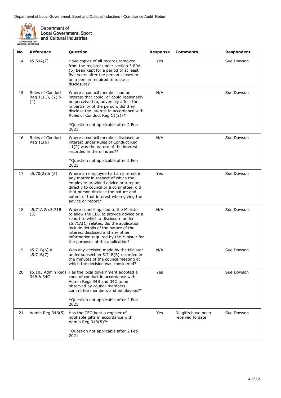

Department of<br>Local Government, Sport<br>and Cultural Industries

| No | Reference                                          | Question                                                                                                                                                                                                                                                                                                                     | <b>Response</b> | <b>Comments</b>                         | Respondent |
|----|----------------------------------------------------|------------------------------------------------------------------------------------------------------------------------------------------------------------------------------------------------------------------------------------------------------------------------------------------------------------------------------|-----------------|-----------------------------------------|------------|
| 14 | s5.89A(7)                                          | Have copies of all records removed<br>from the register under section 5.89A<br>(6) been kept for a period of at least<br>five years after the person ceases to<br>be a person required to make a<br>disclosure?                                                                                                              | Yes             |                                         | Sue Dowson |
| 15 | <b>Rules of Conduct</b><br>Reg 11(1), (2) &<br>(4) | Where a council member had an<br>interest that could, or could reasonably<br>be perceived to, adversely affect the<br>impartiality of the person, did they<br>disclose the interest in accordance with<br>Rules of Conduct Reg 11(2)?*<br>*Question not applicable after 2 Feb                                               | N/A             |                                         | Sue Dowson |
|    |                                                    | 2021                                                                                                                                                                                                                                                                                                                         |                 |                                         |            |
| 16 | <b>Rules of Conduct</b><br>Reg 11(6)               | Where a council member disclosed an<br>interest under Rules of Conduct Reg<br>11(2) was the nature of the interest<br>recorded in the minutes?*                                                                                                                                                                              | N/A             |                                         | Sue Dowson |
|    |                                                    | *Question not applicable after 2 Feb<br>2021                                                                                                                                                                                                                                                                                 |                 |                                         |            |
| 17 | $s5.70(2)$ & $(3)$                                 | Where an employee had an interest in<br>any matter in respect of which the<br>employee provided advice or a report<br>directly to council or a committee, did<br>that person disclose the nature and<br>extent of that interest when giving the<br>advice or report?                                                         | Yes             |                                         | Sue Dowson |
| 18 | s5.71A & s5.71B<br>(5)                             | Where council applied to the Minister<br>to allow the CEO to provide advice or a<br>report to which a disclosure under<br>s5.71A(1) relates, did the application<br>include details of the nature of the<br>interest disclosed and any other<br>information required by the Minister for<br>the purposes of the application? | N/A             |                                         | Sue Dowson |
| 19 | s5.71B(6) &<br>s5.71B(7)                           | Was any decision made by the Minister<br>under subsection 5.71B(6) recorded in<br>the minutes of the council meeting at<br>which the decision was considered?                                                                                                                                                                | N/A             |                                         | Sue Dowson |
| 20 | 34B & 34C                                          | s5.103 Admin Regs Has the local government adopted a<br>code of conduct in accordance with<br>Admin Regs 34B and 34C to be<br>observed by council members,<br>committee members and employees?*<br>*Question not applicable after 2 Feb<br>2021                                                                              | Yes             |                                         | Sue Dowson |
| 21 | Admin Reg 34B(5)                                   | Has the CEO kept a register of<br>notifiable gifts in accordance with<br>Admin Reg 34B(5)?*                                                                                                                                                                                                                                  | Yes             | Nil gifts have been<br>received to date | Sue Dowson |
|    |                                                    | *Question not applicable after 2 Feb<br>2021                                                                                                                                                                                                                                                                                 |                 |                                         |            |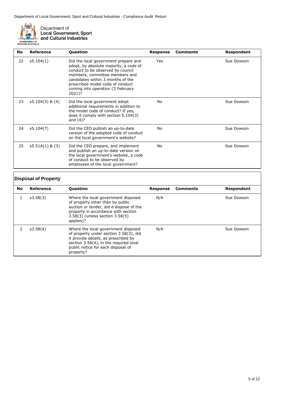

Department of **Local Government, Sport** and Cultural Industries

**No Reference Question Response Comments Respondent** 22 s5.104(1) Did the local government prepare and adopt, by absolute majority, a code of conduct to be observed by council members, committee members and candidates within 3 months of the prescribed model code of conduct coming into operation (3 February 2021)? Yes Sue Dowson

| 23 | $s5.104(3)$ & $(4)$ | Did the local government adopt<br>additional requirements in addition to<br>the model code of conduct? If yes,<br>does it comply with section 5.104(3)<br>and $(4)$ ?                      | No  | Sue Dowson |
|----|---------------------|--------------------------------------------------------------------------------------------------------------------------------------------------------------------------------------------|-----|------------|
| 24 | s5.104(7)           | Did the CEO publish an up-to-date<br>version of the adopted code of conduct<br>on the local government's website?                                                                          | No. | Sue Dowson |
| 25 | $s5.51A(1)$ & (3)   | Did the CEO prepare, and implement<br>and publish an up-to-date version on<br>the local government's website, a code<br>of conduct to be observed by<br>employees of the local government? | No  | Sue Dowson |

## **Disposal of Property**

| No. | Reference | <b>Ouestion</b>                                                                                                                                                                                                    | Response | <b>Comments</b> | Respondent |
|-----|-----------|--------------------------------------------------------------------------------------------------------------------------------------------------------------------------------------------------------------------|----------|-----------------|------------|
|     | s3.58(3)  | Where the local government disposed<br>of property other than by public<br>auction or tender, did it dispose of the<br>property in accordance with section<br>3.58(3) (unless section 3.58(5)<br>applies)?         | N/A      |                 | Sue Dowson |
|     | s3.58(4)  | Where the local government disposed<br>of property under section 3.58(3), did<br>it provide details, as prescribed by<br>section 3.58(4), in the required local<br>public notice for each disposal of<br>property? | N/A      |                 | Sue Dowson |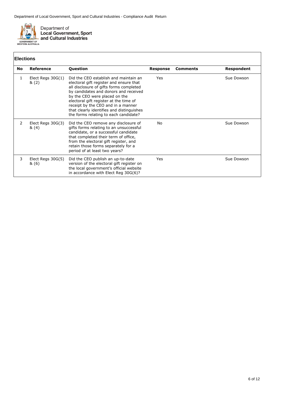

# **Elections**

|           | EIGUUNS                      |                                                                                                                                                                                                                                                                                                                                                                             |          |                 |            |
|-----------|------------------------------|-----------------------------------------------------------------------------------------------------------------------------------------------------------------------------------------------------------------------------------------------------------------------------------------------------------------------------------------------------------------------------|----------|-----------------|------------|
| <b>No</b> | <b>Reference</b>             | <b>Question</b>                                                                                                                                                                                                                                                                                                                                                             | Response | <b>Comments</b> | Respondent |
| 1         | Elect Regs $30G(1)$<br>&(2)  | Did the CEO establish and maintain an<br>electoral gift register and ensure that<br>all disclosure of gifts forms completed<br>by candidates and donors and received<br>by the CEO were placed on the<br>electoral gift register at the time of<br>receipt by the CEO and in a manner<br>that clearly identifies and distinguishes<br>the forms relating to each candidate? | Yes      |                 | Sue Dowson |
| 2         | Elect Regs $30G(3)$<br>&(4)  | Did the CEO remove any disclosure of<br>gifts forms relating to an unsuccessful<br>candidate, or a successful candidate<br>that completed their term of office,<br>from the electoral gift register, and<br>retain those forms separately for a<br>period of at least two years?                                                                                            | No       |                 | Sue Dowson |
| 3         | Elect Regs $30G(5)$<br>& (6) | Did the CEO publish an up-to-date<br>version of the electoral gift register on<br>the local government's official website<br>in accordance with Elect Reg 30G(6)?                                                                                                                                                                                                           | Yes      |                 | Sue Dowson |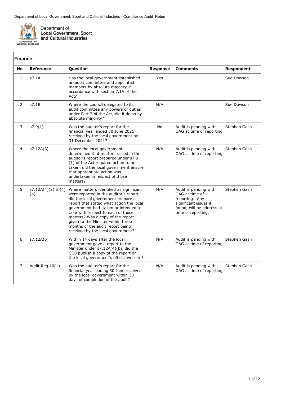

|                | <b>Finance</b>            |                                                                                                                                                                                                                                                                                                                                                                                                      |                 |                                                                                                                                       |                   |  |
|----------------|---------------------------|------------------------------------------------------------------------------------------------------------------------------------------------------------------------------------------------------------------------------------------------------------------------------------------------------------------------------------------------------------------------------------------------------|-----------------|---------------------------------------------------------------------------------------------------------------------------------------|-------------------|--|
| <b>No</b>      | <b>Reference</b>          | Question                                                                                                                                                                                                                                                                                                                                                                                             | <b>Response</b> | <b>Comments</b>                                                                                                                       | <b>Respondent</b> |  |
| 1              | s7.1A                     | Has the local government established<br>an audit committee and appointed<br>members by absolute majority in<br>accordance with section 7.1A of the<br>Act?                                                                                                                                                                                                                                           | Yes             |                                                                                                                                       | Sue Dowson        |  |
| $\overline{2}$ | s7.1B                     | Where the council delegated to its<br>audit committee any powers or duties<br>under Part 7 of the Act, did it do so by<br>absolute majority?                                                                                                                                                                                                                                                         | N/A             |                                                                                                                                       | Sue Dowson        |  |
| 3              | s7.9(1)                   | Was the auditor's report for the<br>financial year ended 30 June 2021<br>received by the local government by<br>31 December 2021?                                                                                                                                                                                                                                                                    | No              | Audit is pending with<br>OAG at time of reporting                                                                                     | Stephen Gash      |  |
| 4              | s7.12A(3)                 | Where the local government<br>determined that matters raised in the<br>auditor's report prepared under s7.9<br>(1) of the Act required action to be<br>taken, did the local government ensure<br>that appropriate action was<br>undertaken in respect of those<br>matters?                                                                                                                           | N/A             | Audit is pending with<br>OAG at time of reporting                                                                                     | Stephen Gash      |  |
| 5              | s7.12A(4)(a) & (4)<br>(b) | Where matters identified as significant<br>were reported in the auditor's report,<br>did the local government prepare a<br>report that stated what action the local<br>government had taken or intended to<br>take with respect to each of those<br>matters? Was a copy of the report<br>given to the Minister within three<br>months of the audit report being<br>received by the local government? | N/A             | Audit is pending with<br>OAG at time of<br>reporting. Any<br>significant issues if<br>found, will be address at<br>time of reporting. | Stephen Gash      |  |
| 6              | s7.12A(5)                 | Within 14 days after the local<br>government gave a report to the<br>Minister under s7.12A(4)(b), did the<br>CEO publish a copy of the report on<br>the local government's official website?                                                                                                                                                                                                         | N/A             | Audit is pending with<br>OAG at time of reporting                                                                                     | Stephen Gash      |  |
| 7              | Audit Reg 10(1)           | Was the auditor's report for the<br>financial year ending 30 June received<br>by the local government within 30<br>days of completion of the audit?                                                                                                                                                                                                                                                  | N/A             | Audit is pending with<br>OAG at time of reporting                                                                                     | Stephen Gash      |  |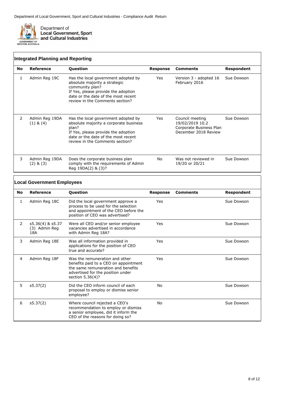

|    | <b>Integrated Planning and Reporting</b> |                                                                                                                                                                                                          |          |                                                                                       |            |  |  |
|----|------------------------------------------|----------------------------------------------------------------------------------------------------------------------------------------------------------------------------------------------------------|----------|---------------------------------------------------------------------------------------|------------|--|--|
| No | Reference                                | <b>Question</b>                                                                                                                                                                                          | Response | <b>Comments</b>                                                                       | Respondent |  |  |
| 1  | Admin Reg 19C                            | Has the local government adopted by<br>absolute majority a strategic<br>community plan?<br>If Yes, please provide the adoption<br>date or the date of the most recent<br>review in the Comments section? | Yes      | Version 3 - adopted 16<br>February 2016                                               | Sue Dowson |  |  |
| 2  | Admin Reg 19DA<br>$(1)$ & $(4)$          | Has the local government adopted by<br>absolute majority a corporate business<br>plan?<br>If Yes, please provide the adoption<br>date or the date of the most recent<br>review in the Comments section?  | Yes      | Council meeting<br>19/02/2019 10.2<br>Corporate Business Plan<br>December 2018 Review | Sue Dowson |  |  |
| 3  | Admin Reg 19DA<br>$(2)$ & $(3)$          | Does the corporate business plan<br>comply with the requirements of Admin<br>Reg 19DA(2) & (3)?                                                                                                          | No.      | Was not reviewed in<br>19/20 or 20/21                                                 | Sue Dowson |  |  |

#### **No Reference Question Response Comments Respondent** 1 Admin Reg 18C Did the local government approve a process to be used for the selection and appointment of the CEO before the position of CEO was advertised? Yes Sue Dowson 2 s5.36(4) & s5.37 (3) Admin Reg 18A Were all CEO and/or senior employee vacancies advertised in accordance with Admin Reg 18A? Yes Sue Dowson 3 Admin Reg 18E Was all information provided in applications for the position of CEO true and accurate? Yes Sue Dowson 4 Admin Reg 18F Was the remuneration and other benefits paid to a CEO on appointment the same remuneration and benefits advertised for the position under section 5.36(4)? Yes Sue Dowson 5 s5.37(2) Did the CEO inform council of each proposal to employ or dismiss senior employee? No Sue Dowson 6 s5.37(2) Where council rejected a CEO's recommendation to employ or dismiss a senior employee, did it inform the CEO of the reasons for doing so? No Sue Dowson **Local Government Employees**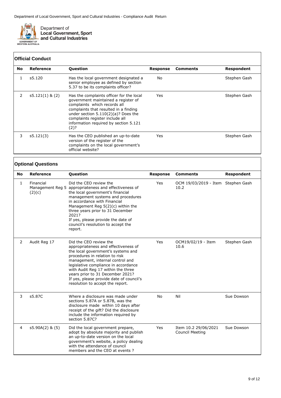

## **Official Conduct**

| <b>No</b> | Reference         | <b>Question</b>                                                                                                                                                                                                                                                                       | Response | Comments | Respondent   |
|-----------|-------------------|---------------------------------------------------------------------------------------------------------------------------------------------------------------------------------------------------------------------------------------------------------------------------------------|----------|----------|--------------|
|           | s5.120            | Has the local government designated a<br>senior employee as defined by section<br>5.37 to be its complaints officer?                                                                                                                                                                  | No       |          | Stephen Gash |
| 2         | $s5.121(1)$ & (2) | Has the complaints officer for the local<br>government maintained a register of<br>complaints which records all<br>complaints that resulted in a finding<br>under section $5.110(2)(a)?$ Does the<br>complaints register include all<br>information required by section 5.121<br>(2)? | Yes      |          | Stephen Gash |
| 3         | s5.121(3)         | Has the CEO published an up-to-date<br>version of the register of the<br>complaints on the local government's<br>official website?                                                                                                                                                    | Yes      |          | Stephen Gash |

### **Optional Questions**

| <b>No</b>      | <b>Reference</b>    | Question                                                                                                                                                                                                                                                                                                                                                                     | <b>Response</b> | <b>Comments</b>                                | <b>Respondent</b> |
|----------------|---------------------|------------------------------------------------------------------------------------------------------------------------------------------------------------------------------------------------------------------------------------------------------------------------------------------------------------------------------------------------------------------------------|-----------------|------------------------------------------------|-------------------|
| 1              | Financial<br>(2)(c) | Did the CEO review the<br>Management Reg 5 appropriateness and effectiveness of<br>the local government's financial<br>management systems and procedures<br>in accordance with Financial<br>Management Reg 5(2)(c) within the<br>three years prior to 31 December<br>2021?<br>If yes, please provide the date of<br>council's resolution to accept the<br>report.            | Yes             | OCM 19/03/2019 - Item Stephen Gash<br>10.2     |                   |
| 2              | Audit Reg 17        | Did the CEO review the<br>appropriateness and effectiveness of<br>the local government's systems and<br>procedures in relation to risk<br>management, internal control and<br>legislative compliance in accordance<br>with Audit Reg 17 within the three<br>years prior to 31 December 2021?<br>If yes, please provide date of council's<br>resolution to accept the report. | Yes             | OCM19/02/19 - Item<br>10.6                     | Stephen Gash      |
| 3              | s5.87C              | Where a disclosure was made under<br>sections 5.87A or 5.87B, was the<br>disclosure made within 10 days after<br>receipt of the gift? Did the disclosure<br>include the information required by<br>section 5.87C?                                                                                                                                                            | <b>No</b>       | Nil                                            | Sue Dowson        |
| $\overline{4}$ | $s5.90A(2)$ & $(5)$ | Did the local government prepare,<br>adopt by absolute majority and publish<br>an up-to-date version on the local<br>government's website, a policy dealing<br>with the attendance of council<br>members and the CEO at events?                                                                                                                                              | Yes             | Item 10.2 29/06/2021<br><b>Council Meeting</b> | Sue Dowson        |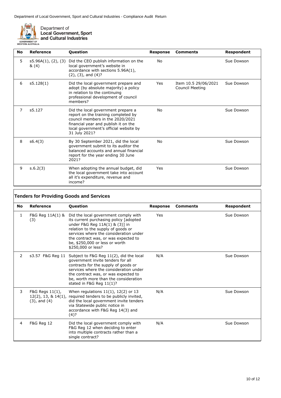

Department of<br>Local Government, Sport<br>and Cultural Industries

| No | Reference                   | <b>Question</b>                                                                                                                                                                                                  | <b>Response</b> | <b>Comments</b>                                | Respondent |
|----|-----------------------------|------------------------------------------------------------------------------------------------------------------------------------------------------------------------------------------------------------------|-----------------|------------------------------------------------|------------|
| 5. | s5.96A(1), (2), (3)<br>&(4) | Did the CEO publish information on the<br>local government's website in<br>accordance with sections 5.96A(1),<br>$(2)$ , $(3)$ , and $(4)$ ?                                                                     | No              |                                                | Sue Dowson |
| 6  | s5.128(1)                   | Did the local government prepare and<br>adopt (by absolute majority) a policy<br>in relation to the continuing<br>professional development of council<br>members?                                                | Yes             | Item 10.5 29/06/2021<br><b>Council Meeting</b> | Sue Dowson |
| 7  | s5.127                      | Did the local government prepare a<br>report on the training completed by<br>council members in the 2020/2021<br>financial year and publish it on the<br>local government's official website by<br>31 July 2021? | No              |                                                | Sue Dowson |
| 8  | s6.4(3)                     | By 30 September 2021, did the local<br>government submit to its auditor the<br>balanced accounts and annual financial<br>report for the year ending 30 June<br>2021?                                             | No              |                                                | Sue Dowson |
| 9  | s.6.2(3)                    | When adopting the annual budget, did<br>the local government take into account<br>all it's expenditure, revenue and<br>income?                                                                                   | Yes             |                                                | Sue Dowson |

|    | <b>Tenders for Providing Goods and Services</b> |                                                                                                                                                                                                                                                                                                                     |                 |                 |            |  |
|----|-------------------------------------------------|---------------------------------------------------------------------------------------------------------------------------------------------------------------------------------------------------------------------------------------------------------------------------------------------------------------------|-----------------|-----------------|------------|--|
| No | Reference                                       | <b>Question</b>                                                                                                                                                                                                                                                                                                     | <b>Response</b> | <b>Comments</b> | Respondent |  |
| 1  | (3)                                             | F&G Reg $11A(1)$ & Did the local government comply with<br>its current purchasing policy [adopted<br>under F&G Reg 11A(1) & (3)] in<br>relation to the supply of goods or<br>services where the consideration under<br>the contract was, or was expected to<br>be, \$250,000 or less or worth<br>\$250,000 or less? | Yes             |                 | Sue Dowson |  |
| 2  | s3.57 F&G Reg 11                                | Subject to F&G Reg 11(2), did the local<br>government invite tenders for all<br>contracts for the supply of goods or<br>services where the consideration under<br>the contract was, or was expected to<br>be, worth more than the consideration<br>stated in F&G Reg $11(1)$ ?                                      | N/A             |                 | Sue Dowson |  |
| 3  | F&G Regs 11(1),<br>$(3)$ , and $(4)$            | When regulations $11(1)$ , $12(2)$ or 13<br>$12(2)$ , 13, & $14(1)$ , required tenders to be publicly invited,<br>did the local government invite tenders<br>via Statewide public notice in<br>accordance with F&G Reg 14(3) and<br>$(4)$ ?                                                                         | N/A             |                 | Sue Dowson |  |
| 4  | <b>F&amp;G Reg 12</b>                           | Did the local government comply with<br>F&G Reg 12 when deciding to enter<br>into multiple contracts rather than a<br>single contract?                                                                                                                                                                              | N/A             |                 | Sue Dowson |  |

 $\overline{\mathsf{I}}$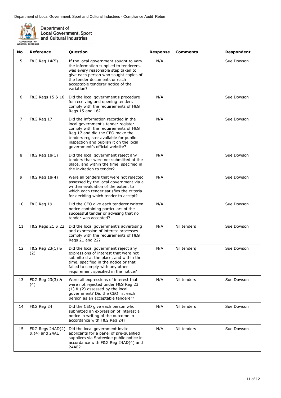

Department of<br>Local Government, Sport<br>and Cultural Industries

| No | <b>Reference</b>                   | Question                                                                                                                                                                                                                                                                 | <b>Response</b> | <b>Comments</b> | Respondent |
|----|------------------------------------|--------------------------------------------------------------------------------------------------------------------------------------------------------------------------------------------------------------------------------------------------------------------------|-----------------|-----------------|------------|
| 5  | F&G Reg 14(5)                      | If the local government sought to vary<br>the information supplied to tenderers,<br>was every reasonable step taken to<br>give each person who sought copies of<br>the tender documents or each<br>acceptable tenderer notice of the<br>variation?                       | N/A             |                 | Sue Dowson |
| 6  | F&G Regs 15 & 16                   | Did the local government's procedure<br>for receiving and opening tenders<br>comply with the requirements of F&G<br>Regs 15 and 16?                                                                                                                                      | N/A             |                 | Sue Dowson |
| 7  | F&G Reg 17                         | Did the information recorded in the<br>local government's tender register<br>comply with the requirements of F&G<br>Reg 17 and did the CEO make the<br>tenders register available for public<br>inspection and publish it on the local<br>government's official website? | N/A             |                 | Sue Dowson |
| 8  | F&G Reg 18(1)                      | Did the local government reject any<br>tenders that were not submitted at the<br>place, and within the time, specified in<br>the invitation to tender?                                                                                                                   | N/A             |                 | Sue Dowson |
| 9  | F&G Reg 18(4)                      | Were all tenders that were not rejected<br>assessed by the local government via a<br>written evaluation of the extent to<br>which each tender satisfies the criteria<br>for deciding which tender to accept?                                                             | N/A             |                 | Sue Dowson |
| 10 | F&G Reg 19                         | Did the CEO give each tenderer written<br>notice containing particulars of the<br>successful tender or advising that no<br>tender was accepted?                                                                                                                          | N/A             |                 | Sue Dowson |
| 11 | F&G Regs 21 & 22                   | Did the local government's advertising<br>and expression of interest processes<br>comply with the requirements of F&G<br>Regs 21 and 22?                                                                                                                                 | N/A             | Nil tenders     | Sue Dowson |
| 12 | F&G Reg 23(1) &<br>(2)             | Did the local government reject any<br>expressions of interest that were not<br>submitted at the place, and within the<br>time, specified in the notice or that<br>failed to comply with any other<br>requirement specified in the notice?                               | N/A             | Nil tenders     | Sue Dowson |
| 13 | F&G Reg 23(3) &<br>(4)             | Were all expressions of interest that<br>were not rejected under F&G Reg 23<br>$(1)$ & $(2)$ assessed by the local<br>government? Did the CEO list each<br>person as an acceptable tenderer?                                                                             | N/A             | Nil tenders     | Sue Dowson |
| 14 | <b>F&amp;G Reg 24</b>              | Did the CEO give each person who<br>submitted an expression of interest a<br>notice in writing of the outcome in<br>accordance with F&G Reg 24?                                                                                                                          | N/A             | Nil tenders     | Sue Dowson |
| 15 | F&G Regs 24AD(2)<br>& (4) and 24AE | Did the local government invite<br>applicants for a panel of pre-qualified<br>suppliers via Statewide public notice in<br>accordance with F&G Reg 24AD(4) and<br>24AE?                                                                                                   | N/A             | Nil tenders     | Sue Dowson |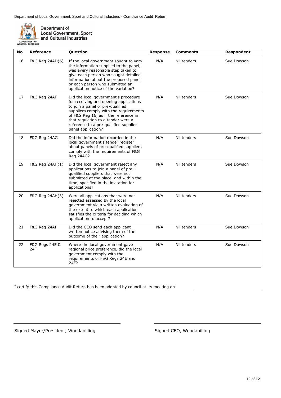

Department of<br>Local Government, Sport<br>and Cultural Industries

| No | Reference                            | Question                                                                                                                                                                                                                                                                                                   | <b>Response</b> | <b>Comments</b> | <b>Respondent</b> |
|----|--------------------------------------|------------------------------------------------------------------------------------------------------------------------------------------------------------------------------------------------------------------------------------------------------------------------------------------------------------|-----------------|-----------------|-------------------|
| 16 | F&G Reg 24AD(6)                      | If the local government sought to vary<br>the information supplied to the panel,<br>was every reasonable step taken to<br>give each person who sought detailed<br>information about the proposed panel<br>or each person who submitted an<br>application notice of the variation?                          | N/A             | Nil tenders     | Sue Dowson        |
| 17 | F&G Reg 24AF                         | Did the local government's procedure<br>for receiving and opening applications<br>to join a panel of pre-qualified<br>suppliers comply with the requirements<br>of F&G Reg 16, as if the reference in<br>that regulation to a tender were a<br>reference to a pre-qualified supplier<br>panel application? | N/A             | Nil tenders     | Sue Dowson        |
| 18 | F&G Reg 24AG                         | Did the information recorded in the<br>local government's tender register<br>about panels of pre-qualified suppliers<br>comply with the requirements of F&G<br>Reg 24AG?                                                                                                                                   | N/A             | Nil tenders     | Sue Dowson        |
| 19 | F&G Reg 24AH(1)                      | Did the local government reject any<br>applications to join a panel of pre-<br>qualified suppliers that were not<br>submitted at the place, and within the<br>time, specified in the invitation for<br>applications?                                                                                       | N/A             | Nil tenders     | Sue Dowson        |
| 20 | F&G Reg 24AH(3)                      | Were all applications that were not<br>rejected assessed by the local<br>government via a written evaluation of<br>the extent to which each application<br>satisfies the criteria for deciding which<br>application to accept?                                                                             | N/A             | Nil tenders     | Sue Dowson        |
| 21 | F&G Reg 24AI                         | Did the CEO send each applicant<br>written notice advising them of the<br>outcome of their application?                                                                                                                                                                                                    | N/A             | Nil tenders     | Sue Dowson        |
| 22 | <b>F&amp;G Regs 24E &amp;</b><br>24F | Where the local government gave<br>regional price preference, did the local<br>government comply with the<br>requirements of F&G Regs 24E and<br>24F?                                                                                                                                                      | N/A             | Nil tenders     | Sue Dowson        |

I certify this Compliance Audit Return has been adopted by council at its meeting on

Signed Mayor/President, Woodanilling Signed CEO, Woodanilling